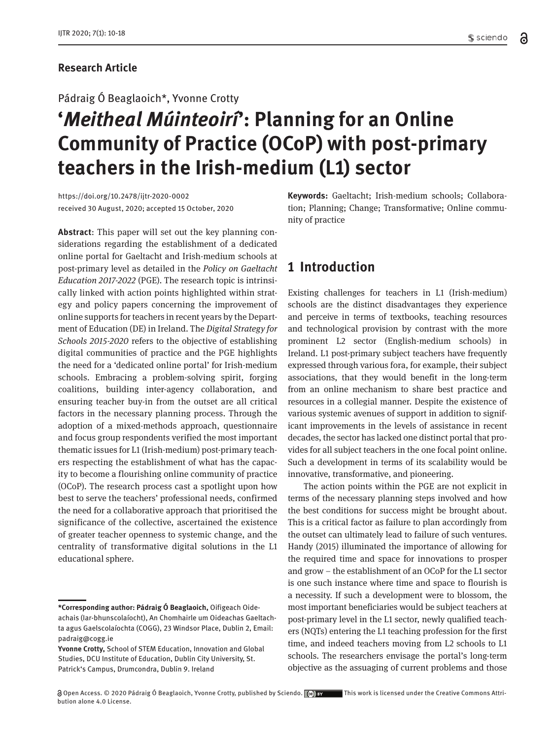#### **Research Article**

#### Pádraig Ó Beaglaoich\*, Yvonne Crotty

# **'***Meitheal Múinteoirí***': Planning for an Online Community of Practice (OCoP) with post-primary teachers in the Irish-medium (L1) sector**

https://doi.org/10.2478/ijtr-2020-0002 received 30 August, 2020; accepted 15 October, 2020

**Abstract**: This paper will set out the key planning considerations regarding the establishment of a dedicated online portal for Gaeltacht and Irish-medium schools at post-primary level as detailed in the *Policy on Gaeltacht Education 2017-2022* (PGE). The research topic is intrinsically linked with action points highlighted within strategy and policy papers concerning the improvement of online supports for teachers in recent years by the Department of Education (DE) in Ireland. The *Digital Strategy for Schools 2015-2020* refers to the objective of establishing digital communities of practice and the PGE highlights the need for a 'dedicated online portal' for Irish-medium schools. Embracing a problem-solving spirit, forging coalitions, building inter-agency collaboration, and ensuring teacher buy-in from the outset are all critical factors in the necessary planning process. Through the adoption of a mixed-methods approach, questionnaire and focus group respondents verified the most important thematic issues for L1 (Irish-medium) post-primary teachers respecting the establishment of what has the capacity to become a flourishing online community of practice (OCoP). The research process cast a spotlight upon how best to serve the teachers' professional needs, confirmed the need for a collaborative approach that prioritised the significance of the collective, ascertained the existence of greater teacher openness to systemic change, and the centrality of transformative digital solutions in the L1 educational sphere.

**Keywords:** Gaeltacht; Irish-medium schools; Collaboration; Planning; Change; Transformative; Online community of practice

## **1 Introduction**

Existing challenges for teachers in L1 (Irish-medium) schools are the distinct disadvantages they experience and perceive in terms of textbooks, teaching resources and technological provision by contrast with the more prominent L2 sector (English-medium schools) in Ireland. L1 post-primary subject teachers have frequently expressed through various fora, for example, their subject associations, that they would benefit in the long-term from an online mechanism to share best practice and resources in a collegial manner. Despite the existence of various systemic avenues of support in addition to significant improvements in the levels of assistance in recent decades, the sector has lacked one distinct portal that provides for all subject teachers in the one focal point online. Such a development in terms of its scalability would be innovative, transformative, and pioneering.

The action points within the PGE are not explicit in terms of the necessary planning steps involved and how the best conditions for success might be brought about. This is a critical factor as failure to plan accordingly from the outset can ultimately lead to failure of such ventures. Handy (2015) illuminated the importance of allowing for the required time and space for innovations to prosper and grow – the establishment of an OCoP for the L1 sector is one such instance where time and space to flourish is a necessity. If such a development were to blossom, the most important beneficiaries would be subject teachers at post-primary level in the L1 sector, newly qualified teachers (NQTs) entering the L1 teaching profession for the first time, and indeed teachers moving from L2 schools to L1 schools. The researchers envisage the portal's long-term objective as the assuaging of current problems and those

**<sup>\*</sup>Corresponding author: Pádraig Ó Beaglaoich,** Oifigeach Oideachais (Iar-bhunscolaíocht), An Chomhairle um Oideachas Gaeltachta agus Gaelscolaíochta (COGG), 23 Windsor Place, Dublin 2, Email: padraig@cogg.ie

**Yvonne Crotty,** School of STEM Education, Innovation and Global Studies, DCU Institute of Education, Dublin City University, St. Patrick's Campus, Drumcondra, Dublin 9. Ireland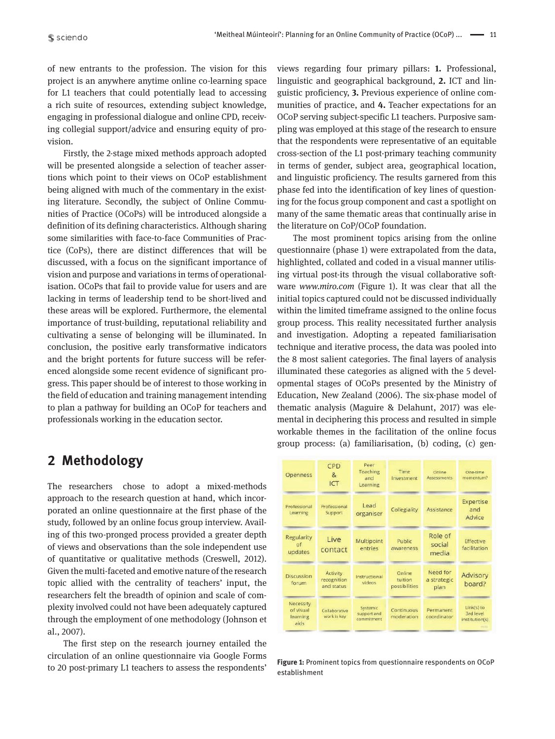of new entrants to the profession. The vision for this project is an anywhere anytime online co-learning space for L1 teachers that could potentially lead to accessing a rich suite of resources, extending subject knowledge, engaging in professional dialogue and online CPD, receiving collegial support/advice and ensuring equity of provision.

Firstly, the 2-stage mixed methods approach adopted will be presented alongside a selection of teacher assertions which point to their views on OCoP establishment being aligned with much of the commentary in the existing literature. Secondly, the subject of Online Communities of Practice (OCoPs) will be introduced alongside a definition of its defining characteristics. Although sharing some similarities with face-to-face Communities of Practice (CoPs), there are distinct differences that will be discussed, with a focus on the significant importance of vision and purpose and variations in terms of operationalisation. OCoPs that fail to provide value for users and are lacking in terms of leadership tend to be short-lived and these areas will be explored. Furthermore, the elemental importance of trust-building, reputational reliability and cultivating a sense of belonging will be illuminated. In conclusion, the positive early transformative indicators and the bright portents for future success will be referenced alongside some recent evidence of significant progress. This paper should be of interest to those working in the field of education and training management intending to plan a pathway for building an OCoP for teachers and professionals working in the education sector.

## **2 Methodology**

The researchers chose to adopt a mixed-methods approach to the research question at hand, which incorporated an online questionnaire at the first phase of the study, followed by an online focus group interview. Availing of this two-pronged process provided a greater depth of views and observations than the sole independent use of quantitative or qualitative methods (Creswell, 2012). Given the multi-faceted and emotive nature of the research topic allied with the centrality of teachers' input, the researchers felt the breadth of opinion and scale of complexity involved could not have been adequately captured through the employment of one methodology (Johnson et al., 2007).

The first step on the research journey entailed the circulation of an online questionnaire via Google Forms to 20 post-primary L1 teachers to assess the respondents'

views regarding four primary pillars: **1.** Professional, linguistic and geographical background, **2.** ICT and linguistic proficiency, **3.** Previous experience of online communities of practice, and **4.** Teacher expectations for an OCoP serving subject-specific L1 teachers. Purposive sampling was employed at this stage of the research to ensure that the respondents were representative of an equitable cross-section of the L1 post-primary teaching community in terms of gender, subject area, geographical location, and linguistic proficiency. The results garnered from this phase fed into the identification of key lines of questioning for the focus group component and cast a spotlight on many of the same thematic areas that continually arise in the literature on CoP/OCoP foundation.

The most prominent topics arising from the online questionnaire (phase 1) were extrapolated from the data, highlighted, collated and coded in a visual manner utilising virtual post-its through the visual collaborative software *www.miro.com* (Figure 1). It was clear that all the initial topics captured could not be discussed individually within the limited timeframe assigned to the online focus group process. This reality necessitated further analysis and investigation. Adopting a repeated familiarisation technique and iterative process, the data was pooled into the 8 most salient categories. The final layers of analysis illuminated these categories as aligned with the 5 developmental stages of OCoPs presented by the Ministry of Education, New Zealand (2006). The six-phase model of thematic analysis (Maguire & Delahunt, 2017) was elemental in deciphering this process and resulted in simple workable themes in the facilitation of the online focus group process: (a) familiarisation, (b) coding, (c) gen-

| <b>Openness</b>                            | CPD<br>$\mathbf{g}$<br>ICT            | Peer<br>Teaching<br>and<br>Learning   | Time<br>Investment                 | Online<br>Assessments           | One-time<br>momentum?                                    |
|--------------------------------------------|---------------------------------------|---------------------------------------|------------------------------------|---------------------------------|----------------------------------------------------------|
| Professional<br>Learning                   | Professional<br>Support               | Lead<br>organiser                     | Collegiality                       | Assistance                      | <b>Expertise</b><br>and<br>Advice                        |
| Regularity<br>$\alpha$ f<br>updates        | Live<br>contact                       | Multipoint<br>entries                 | Public<br>awareness                | Role of<br>social<br>media      | Effective<br>facilitation                                |
| Discussion<br>forum                        | Activity<br>recognition<br>and status | Instructional<br>videos               | Online<br>tuition<br>possibilities | Need for<br>a strategic<br>plan | Advisory<br>board?                                       |
| Necessity<br>of visual<br>learning<br>aids | Collaborative<br>work is key          | Systemic<br>support and<br>commitment | Continuous<br>moderation           | Permanent<br>coordinator        | Link(s) to<br>3rd level<br>institution(s)<br>$77.1 + 11$ |

**Figure 1:** Prominent topics from questionnaire respondents on OCoP establishment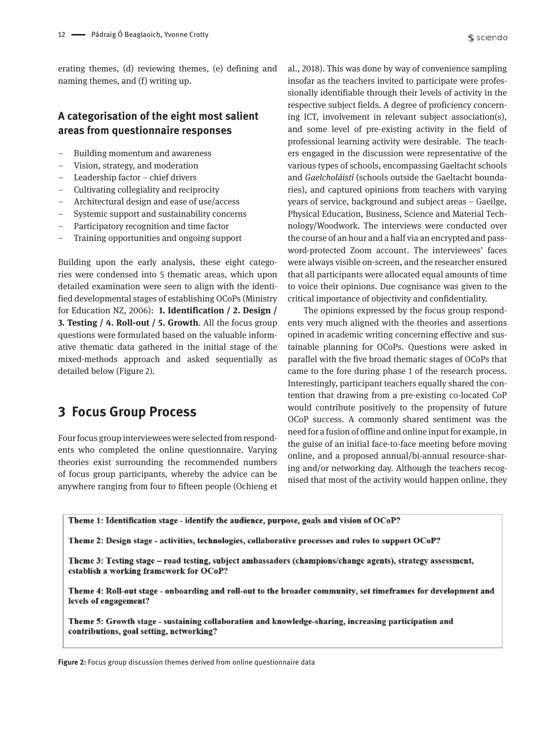erating themes, (d) reviewing themes, (e) defining and naming themes, and (f) writing up.

#### **A categorisation of the eight most salient areas from questionnaire responses**

- Building momentum and awareness
- Vision, strategy, and moderation
- Leadership factor chief drivers
- Cultivating collegiality and reciprocity
- Architectural design and ease of use/access
- Systemic support and sustainability concerns
- Participatory recognition and time factor
- Training opportunities and ongoing support

Building upon the early analysis, these eight categories were condensed into 5 thematic areas, which upon detailed examination were seen to align with the identified developmental stages of establishing OCoPs (Ministry for Education NZ, 2006): **1. Identification / 2. Design / 3. Testing / 4. Roll-out / 5. Growth**. All the focus group questions were formulated based on the valuable informative thematic data gathered in the initial stage of the mixed-methods approach and asked sequentially as detailed below (Figure 2).

## **3 Focus Group Process**

Four focus group interviewees were selected from respondents who completed the online questionnaire. Varying theories exist surrounding the recommended numbers of focus group participants, whereby the advice can be anywhere ranging from four to fifteen people (Ochieng et al., 2018). This was done by way of convenience sampling insofar as the teachers invited to participate were professionally identifiable through their levels of activity in the respective subject fields. A degree of proficiency concerning ICT, involvement in relevant subject association(s), and some level of pre-existing activity in the field of professional learning activity were desirable. The teachers engaged in the discussion were representative of the various types of schools, encompassing Gaeltacht schools and *Gaelcholáistí* (schools outside the Gaeltacht boundaries), and captured opinions from teachers with varying years of service, background and subject areas – Gaeilge, Physical Education, Business, Science and Material Technology/Woodwork. The interviews were conducted over the course of an hour and a half via an encrypted and password-protected Zoom account. The interviewees' faces were always visible on-screen, and the researcher ensured that all participants were allocated equal amounts of time to voice their opinions. Due cognisance was given to the critical importance of objectivity and confidentiality.

The opinions expressed by the focus group respondents very much aligned with the theories and assertions opined in academic writing concerning effective and sustainable planning for OCoPs. Questions were asked in parallel with the five broad thematic stages of OCoPs that came to the fore during phase 1 of the research process. Interestingly, participant teachers equally shared the contention that drawing from a pre-existing co-located CoP would contribute positively to the propensity of future OCoP success. A commonly shared sentiment was the need for a fusion of offline and online input for example, in the guise of an initial face-to-face meeting before moving online, and a proposed annual/bi-annual resource-sharing and/or networking day. Although the teachers recognised that most of the activity would happen online, they

Theme 1: Identification stage - identify the audience, purpose, goals and vision of OCoP?

Theme 2: Design stage - activities, technologies, collaborative processes and roles to support OCoP?

Theme 3: Testing stage – road testing, subject ambassadors (champions/change agents), strategy assessment, establish a working framework for OCoP?

Theme 4: Roll-out stage - onboarding and roll-out to the broader community, set timeframes for development and levels of engagement?

Theme 5: Growth stage - sustaining collaboration and knowledge-sharing, increasing participation and contributions, goal setting, networking?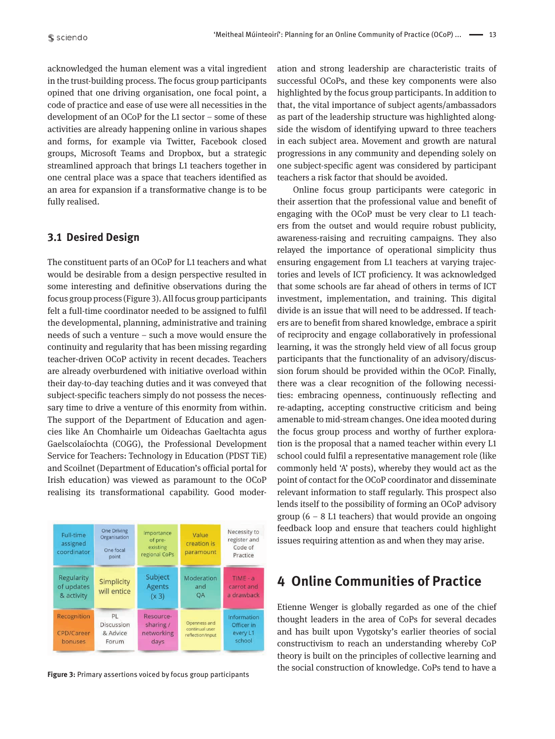acknowledged the human element was a vital ingredient in the trust-building process. The focus group participants opined that one driving organisation, one focal point, a code of practice and ease of use were all necessities in the development of an OCoP for the L1 sector – some of these activities are already happening online in various shapes and forms, for example via Twitter, Facebook closed groups, Microsoft Teams and Dropbox, but a strategic streamlined approach that brings L1 teachers together in one central place was a space that teachers identified as an area for expansion if a transformative change is to be fully realised.

#### **3.1 Desired Design**

The constituent parts of an OCoP for L1 teachers and what would be desirable from a design perspective resulted in some interesting and definitive observations during the focus group process (Figure 3). All focus group participants felt a full-time coordinator needed to be assigned to fulfil the developmental, planning, administrative and training needs of such a venture – such a move would ensure the continuity and regularity that has been missing regarding teacher-driven OCoP activity in recent decades. Teachers are already overburdened with initiative overload within their day-to-day teaching duties and it was conveyed that subject-specific teachers simply do not possess the necessary time to drive a venture of this enormity from within. The support of the Department of Education and agencies like An Chomhairle um Oideachas Gaeltachta agus Gaelscolaíochta (COGG), the Professional Development Service for Teachers: Technology in Education (PDST TiE) and Scoilnet (Department of Education's official portal for Irish education) was viewed as paramount to the OCoP realising its transformational capability. Good moder-



ation and strong leadership are characteristic traits of successful OCoPs, and these key components were also highlighted by the focus group participants. In addition to that, the vital importance of subject agents/ambassadors as part of the leadership structure was highlighted alongside the wisdom of identifying upward to three teachers in each subject area. Movement and growth are natural progressions in any community and depending solely on one subject-specific agent was considered by participant teachers a risk factor that should be avoided.

Online focus group participants were categoric in their assertion that the professional value and benefit of engaging with the OCoP must be very clear to L1 teachers from the outset and would require robust publicity, awareness-raising and recruiting campaigns. They also relayed the importance of operational simplicity thus ensuring engagement from L1 teachers at varying trajectories and levels of ICT proficiency. It was acknowledged that some schools are far ahead of others in terms of ICT investment, implementation, and training. This digital divide is an issue that will need to be addressed. If teachers are to benefit from shared knowledge, embrace a spirit of reciprocity and engage collaboratively in professional learning, it was the strongly held view of all focus group participants that the functionality of an advisory/discussion forum should be provided within the OCoP. Finally, there was a clear recognition of the following necessities: embracing openness, continuously reflecting and re-adapting, accepting constructive criticism and being amenable to mid-stream changes. One idea mooted during the focus group process and worthy of further exploration is the proposal that a named teacher within every L1 school could fulfil a representative management role (like commonly held 'A' posts), whereby they would act as the point of contact for the OCoP coordinator and disseminate relevant information to staff regularly. This prospect also lends itself to the possibility of forming an OCoP advisory group  $(6 - 8)$  L1 teachers) that would provide an ongoing feedback loop and ensure that teachers could highlight issues requiring attention as and when they may arise.

## **4 Online Communities of Practice**

Etienne Wenger is globally regarded as one of the chief thought leaders in the area of CoPs for several decades and has built upon Vygotsky's earlier theories of social constructivism to reach an understanding whereby CoP theory is built on the principles of collective learning and the social construction of knowledge. CoPs tend to have a **Figure 3:** Prim ary assertions voiced by focus group participants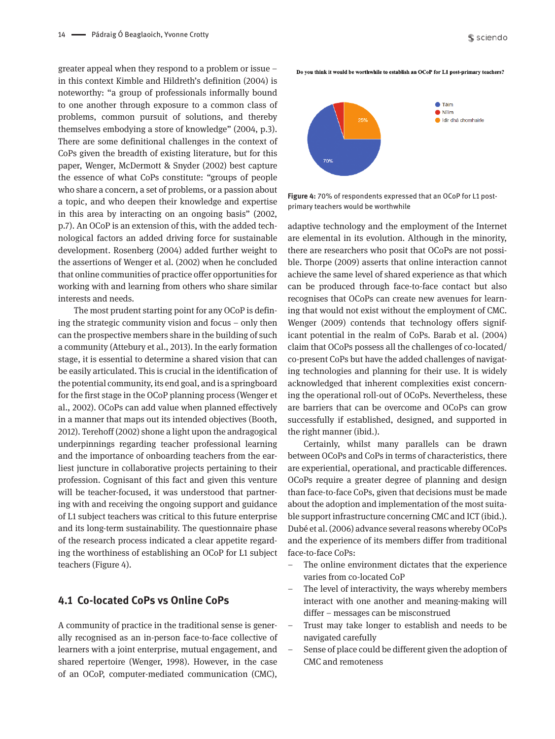greater appeal when they respond to a problem or issue – in this context Kimble and Hildreth's definition (2004) is noteworthy: "a group of professionals informally bound to one another through exposure to a common class of problems, common pursuit of solutions, and thereby themselves embodying a store of knowledge" (2004, p.3). There are some definitional challenges in the context of CoPs given the breadth of existing literature, but for this paper, Wenger, McDermott & Snyder (2002) best capture the essence of what CoPs constitute: "groups of people who share a concern, a set of problems, or a passion about a topic, and who deepen their knowledge and expertise in this area by interacting on an ongoing basis" (2002, p.7). An OCoP is an extension of this, with the added technological factors an added driving force for sustainable development. Rosenberg (2004) added further weight to the assertions of Wenger et al. (2002) when he concluded that online communities of practice offer opportunities for working with and learning from others who share similar interests and needs.

The most prudent starting point for any OCoP is defining the strategic community vision and focus – only then can the prospective members share in the building of such a community (Attebury et al., 2013). In the early formation stage, it is essential to determine a shared vision that can be easily articulated. This is crucial in the identification of the potential community, its end goal, and is a springboard for the first stage in the OCoP planning process (Wenger et al., 2002). OCoPs can add value when planned effectively in a manner that maps out its intended objectives (Booth, 2012). Terehoff (2002) shone a light upon the andragogical underpinnings regarding teacher professional learning and the importance of onboarding teachers from the earliest juncture in collaborative projects pertaining to their profession. Cognisant of this fact and given this venture will be teacher-focused, it was understood that partnering with and receiving the ongoing support and guidance of L1 subject teachers was critical to this future enterprise and its long-term sustainability. The questionnaire phase of the research process indicated a clear appetite regarding the worthiness of establishing an OCoP for L1 subject teachers (Figure 4).

#### **4.1 Co-located CoPs vs Online CoPs**

A community of practice in the traditional sense is generally recognised as an in-person face-to-face collective of learners with a joint enterprise, mutual engagement, and shared repertoire (Wenger, 1998). However, in the case of an OCoP, computer-mediated communication (CMC),

Do you think it would be worthwhile to establish an OCoP for L1 post-primary teachers?



**Figure 4:** 70% of respondents expressed that an OCoP for L1 postprimary teachers would be worthwhile

adaptive technology and the employment of the Internet are elemental in its evolution. Although in the minority, there are researchers who posit that OCoPs are not possible. Thorpe (2009) asserts that online interaction cannot achieve the same level of shared experience as that which can be produced through face-to-face contact but also recognises that OCoPs can create new avenues for learning that would not exist without the employment of CMC. Wenger (2009) contends that technology offers significant potential in the realm of CoPs. Barab et al. (2004) claim that OCoPs possess all the challenges of co-located/ co-present CoPs but have the added challenges of navigating technologies and planning for their use. It is widely acknowledged that inherent complexities exist concerning the operational roll-out of OCoPs. Nevertheless, these are barriers that can be overcome and OCoPs can grow successfully if established, designed, and supported in the right manner (ibid.).

Certainly, whilst many parallels can be drawn between OCoPs and CoPs in terms of characteristics, there are experiential, operational, and practicable differences. OCoPs require a greater degree of planning and design than face-to-face CoPs, given that decisions must be made about the adoption and implementation of the most suitable support infrastructure concerning CMC and ICT (ibid.). Dubé et al. (2006) advance several reasons whereby OCoPs and the experience of its members differ from traditional face-to-face CoPs:

- The online environment dictates that the experience varies from co-located CoP
- The level of interactivity, the ways whereby members interact with one another and meaning-making will differ – messages can be misconstrued
- Trust may take longer to establish and needs to be navigated carefully
- Sense of place could be different given the adoption of CMC and remoteness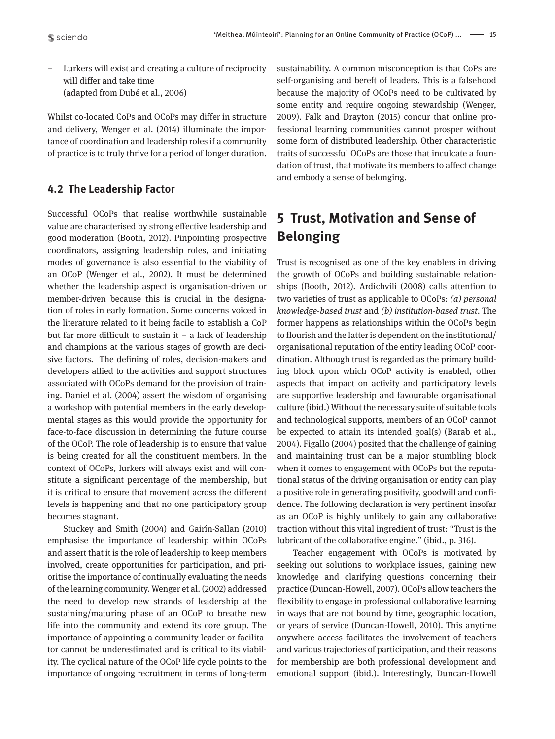– Lurkers will exist and creating a culture of reciprocity will differ and take time (adapted from Dubé et al., 2006)

Whilst co-located CoPs and OCoPs may differ in structure and delivery, Wenger et al. (2014) illuminate the importance of coordination and leadership roles if a community of practice is to truly thrive for a period of longer duration.

#### **4.2 The Leadership Factor**

Successful OCoPs that realise worthwhile sustainable value are characterised by strong effective leadership and good moderation (Booth, 2012). Pinpointing prospective coordinators, assigning leadership roles, and initiating modes of governance is also essential to the viability of an OCoP (Wenger et al., 2002). It must be determined whether the leadership aspect is organisation-driven or member-driven because this is crucial in the designation of roles in early formation. Some concerns voiced in the literature related to it being facile to establish a CoP but far more difficult to sustain it – a lack of leadership and champions at the various stages of growth are decisive factors. The defining of roles, decision-makers and developers allied to the activities and support structures associated with OCoPs demand for the provision of training. Daniel et al. (2004) assert the wisdom of organising a workshop with potential members in the early developmental stages as this would provide the opportunity for face-to-face discussion in determining the future course of the OCoP. The role of leadership is to ensure that value is being created for all the constituent members. In the context of OCoPs, lurkers will always exist and will constitute a significant percentage of the membership, but it is critical to ensure that movement across the different levels is happening and that no one participatory group becomes stagnant.

Stuckey and Smith (2004) and Gairín-Sallan (2010) emphasise the importance of leadership within OCoPs and assert that it is the role of leadership to keep members involved, create opportunities for participation, and prioritise the importance of continually evaluating the needs of the learning community. Wenger et al. (2002) addressed the need to develop new strands of leadership at the sustaining/maturing phase of an OCoP to breathe new life into the community and extend its core group. The importance of appointing a community leader or facilitator cannot be underestimated and is critical to its viability. The cyclical nature of the OCoP life cycle points to the importance of ongoing recruitment in terms of long-term

sustainability. A common misconception is that CoPs are self-organising and bereft of leaders. This is a falsehood because the majority of OCoPs need to be cultivated by some entity and require ongoing stewardship (Wenger, 2009). Falk and Drayton (2015) concur that online professional learning communities cannot prosper without some form of distributed leadership. Other characteristic traits of successful OCoPs are those that inculcate a foundation of trust, that motivate its members to affect change and embody a sense of belonging.

## **5 Trust, Motivation and Sense of Belonging**

Trust is recognised as one of the key enablers in driving the growth of OCoPs and building sustainable relationships (Booth, 2012). Ardichvili (2008) calls attention to two varieties of trust as applicable to OCoPs: *(a) personal knowledge-based trust* and *(b) institution-based trust*. The former happens as relationships within the OCoPs begin to flourish and the latter is dependent on the institutional/ organisational reputation of the entity leading OCoP coordination. Although trust is regarded as the primary building block upon which OCoP activity is enabled, other aspects that impact on activity and participatory levels are supportive leadership and favourable organisational culture (ibid.) Without the necessary suite of suitable tools and technological supports, members of an OCoP cannot be expected to attain its intended goal(s) (Barab et al., 2004). Figallo (2004) posited that the challenge of gaining and maintaining trust can be a major stumbling block when it comes to engagement with OCoPs but the reputational status of the driving organisation or entity can play a positive role in generating positivity, goodwill and confidence. The following declaration is very pertinent insofar as an OCoP is highly unlikely to gain any collaborative traction without this vital ingredient of trust: "Trust is the lubricant of the collaborative engine." (ibid., p. 316).

Teacher engagement with OCoPs is motivated by seeking out solutions to workplace issues, gaining new knowledge and clarifying questions concerning their practice (Duncan-Howell, 2007). OCoPs allow teachers the flexibility to engage in professional collaborative learning in ways that are not bound by time, geographic location, or years of service (Duncan-Howell, 2010). This anytime anywhere access facilitates the involvement of teachers and various trajectories of participation, and their reasons for membership are both professional development and emotional support (ibid.). Interestingly, Duncan-Howell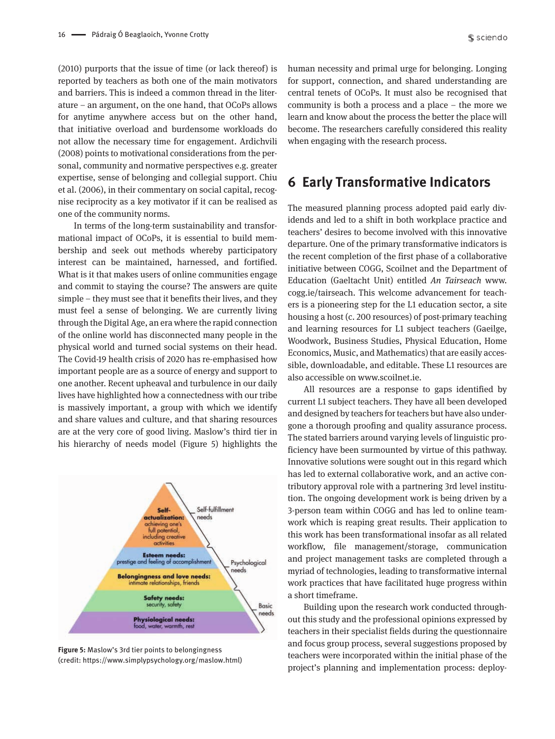(2010) purports that the issue of time (or lack thereof) is reported by teachers as both one of the main motivators and barriers. This is indeed a common thread in the literature – an argument, on the one hand, that OCoPs allows for anytime anywhere access but on the other hand, that initiative overload and burdensome workloads do not allow the necessary time for engagement. Ardichvili (2008) points to motivational considerations from the personal, community and normative perspectives e.g. greater expertise, sense of belonging and collegial support. Chiu et al. (2006), in their commentary on social capital, recognise reciprocity as a key motivator if it can be realised as one of the community norms.

In terms of the long-term sustainability and transformational impact of OCoPs, it is essential to build membership and seek out methods whereby participatory interest can be maintained, harnessed, and fortified. What is it that makes users of online communities engage and commit to staying the course? The answers are quite simple – they must see that it benefits their lives, and they must feel a sense of belonging. We are currently living through the Digital Age, an era where the rapid connection of the online world has disconnected many people in the physical world and turned social systems on their head. The Covid-19 health crisis of 2020 has re-emphasised how important people are as a source of energy and support to one another. Recent upheaval and turbulence in our daily lives have highlighted how a connectedness with our tribe is massively important, a group with which we identify and share values and culture, and that sharing resources are at the very core of good living. Maslow's third tier in his hierarchy of needs model (Figure 5) highlights the



**Figure 5:** Maslow's 3rd tier points to belongingness (credit: https://www.simplypsychology.org/maslow.html)

human necessity and primal urge for belonging. Longing for support, connection, and shared understanding are central tenets of OCoPs. It must also be recognised that community is both a process and a place – the more we learn and know about the process the better the place will become. The researchers carefully considered this reality when engaging with the research process.

#### **6 Early Transformative Indicators**

The measured planning process adopted paid early dividends and led to a shift in both workplace practice and teachers' desires to become involved with this innovative departure. One of the primary transformative indicators is the recent completion of the first phase of a collaborative initiative between COGG, Scoilnet and the Department of Education (Gaeltacht Unit) entitled *An Tairseach* www. cogg.ie/tairseach. This welcome advancement for teachers is a pioneering step for the L1 education sector, a site housing a host (c. 200 resources) of post-primary teaching and learning resources for L1 subject teachers (Gaeilge, Woodwork, Business Studies, Physical Education, Home Economics, Music, and Mathematics) that are easily accessible, downloadable, and editable. These L1 resources are also accessible on www.scoilnet.ie.

All resources are a response to gaps identified by current L1 subject teachers. They have all been developed and designed by teachers for teachers but have also undergone a thorough proofing and quality assurance process. The stated barriers around varying levels of linguistic proficiency have been surmounted by virtue of this pathway. Innovative solutions were sought out in this regard which has led to external collaborative work, and an active contributory approval role with a partnering 3rd level institution. The ongoing development work is being driven by a 3-person team within COGG and has led to online teamwork which is reaping great results. Their application to this work has been transformational insofar as all related workflow, file management/storage, communication and project management tasks are completed through a myriad of technologies, leading to transformative internal work practices that have facilitated huge progress within a short timeframe.

Building upon the research work conducted throughout this study and the professional opinions expressed by teachers in their specialist fields during the questionnaire and focus group process, several suggestions proposed by teachers were incorporated within the initial phase of the project's planning and implementation process: deploy-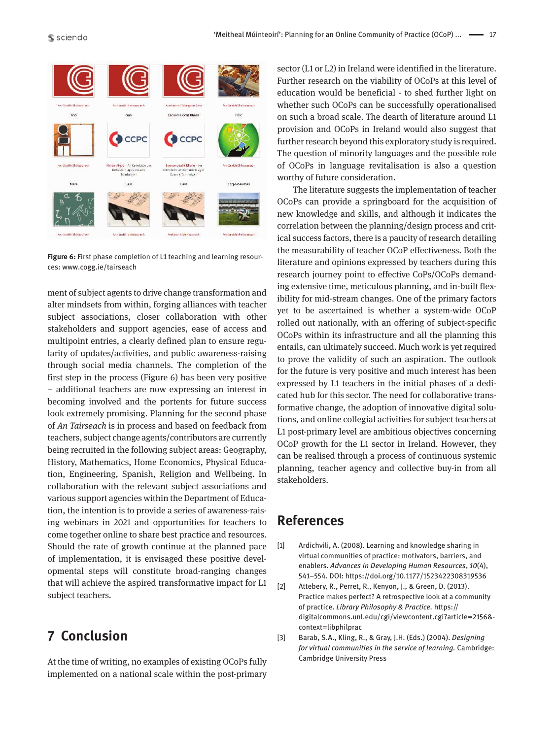

**Figure 6:** First phase completion of L1 teaching and learning resources: www.cogg.ie/tairseach

ment of subject agents to drive change transformation and alter mindsets from within, forging alliances with teacher subject associations, closer collaboration with other stakeholders and support agencies, ease of access and multipoint entries, a clearly defined plan to ensure regularity of updates/activities, and public awareness-raising through social media channels. The completion of the first step in the process (Figure 6) has been very positive – additional teachers are now expressing an interest in becoming involved and the portents for future success look extremely promising. Planning for the second phase of *An Tairseach* is in process and based on feedback from teachers, subject change agents/contributors are currently being recruited in the following subject areas: Geography, History, Mathematics, Home Economics, Physical Education, Engineering, Spanish, Religion and Wellbeing. In collaboration with the relevant subject associations and various support agencies within the Department of Education, the intention is to provide a series of awareness-raising webinars in 2021 and opportunities for teachers to come together online to share best practice and resources. Should the rate of growth continue at the planned pace of implementation, it is envisaged these positive developmental steps will constitute broad-ranging changes that will achieve the aspired transformative impact for L1 subject teachers.

## **7 Conclusion**

At the time of writing, no examples of existing OCoPs fully implemented on a national scale within the post-primary sector (L1 or L2) in Ireland were identified in the literature. Further research on the viability of OCoPs at this level of education would be beneficial - to shed further light on whether such OCoPs can be successfully operationalised on such a broad scale. The dearth of literature around L1 provision and OCoPs in Ireland would also suggest that further research beyond this exploratory study is required. The question of minority languages and the possible role of OCoPs in language revitalisation is also a question worthy of future consideration.

The literature suggests the implementation of teacher OCoPs can provide a springboard for the acquisition of new knowledge and skills, and although it indicates the correlation between the planning/design process and critical success factors, there is a paucity of research detailing the measurability of teacher OCoP effectiveness. Both the literature and opinions expressed by teachers during this research journey point to effective CoPs/OCoPs demanding extensive time, meticulous planning, and in-built flexibility for mid-stream changes. One of the primary factors yet to be ascertained is whether a system-wide OCoP rolled out nationally, with an offering of subject-specific OCoPs within its infrastructure and all the planning this entails, can ultimately succeed. Much work is yet required to prove the validity of such an aspiration. The outlook for the future is very positive and much interest has been expressed by L1 teachers in the initial phases of a dedicated hub for this sector. The need for collaborative transformative change, the adoption of innovative digital solutions, and online collegial activities for subject teachers at L1 post-primary level are ambitious objectives concerning OCoP growth for the L1 sector in Ireland. However, they can be realised through a process of continuous systemic planning, teacher agency and collective buy-in from all stakeholders.

## **References**

- [1] Ardichvili, A. (2008). Learning and knowledge sharing in virtual communities of practice: motivators, barriers, and enablers. *Advances in Developing Human Resources*, *10*(4), 541–554. DOI: https://doi.org/10.1177/1523422308319536
- [2] Attebery, R., Perret, R., Kenyon, J., & Green, D. (2013). Practice makes perfect? A retrospective look at a community of practice. *Library Philosophy & Practice.* https:// digitalcommons.unl.edu/cgi/viewcontent.cgi?article=2156& context=libphilprac
- [3] Barab, S.A., Kling, R., & Gray, J.H. (Eds.) (2004). *Designing for virtual communities in the service of learning.* Cambridge: Cambridge University Press